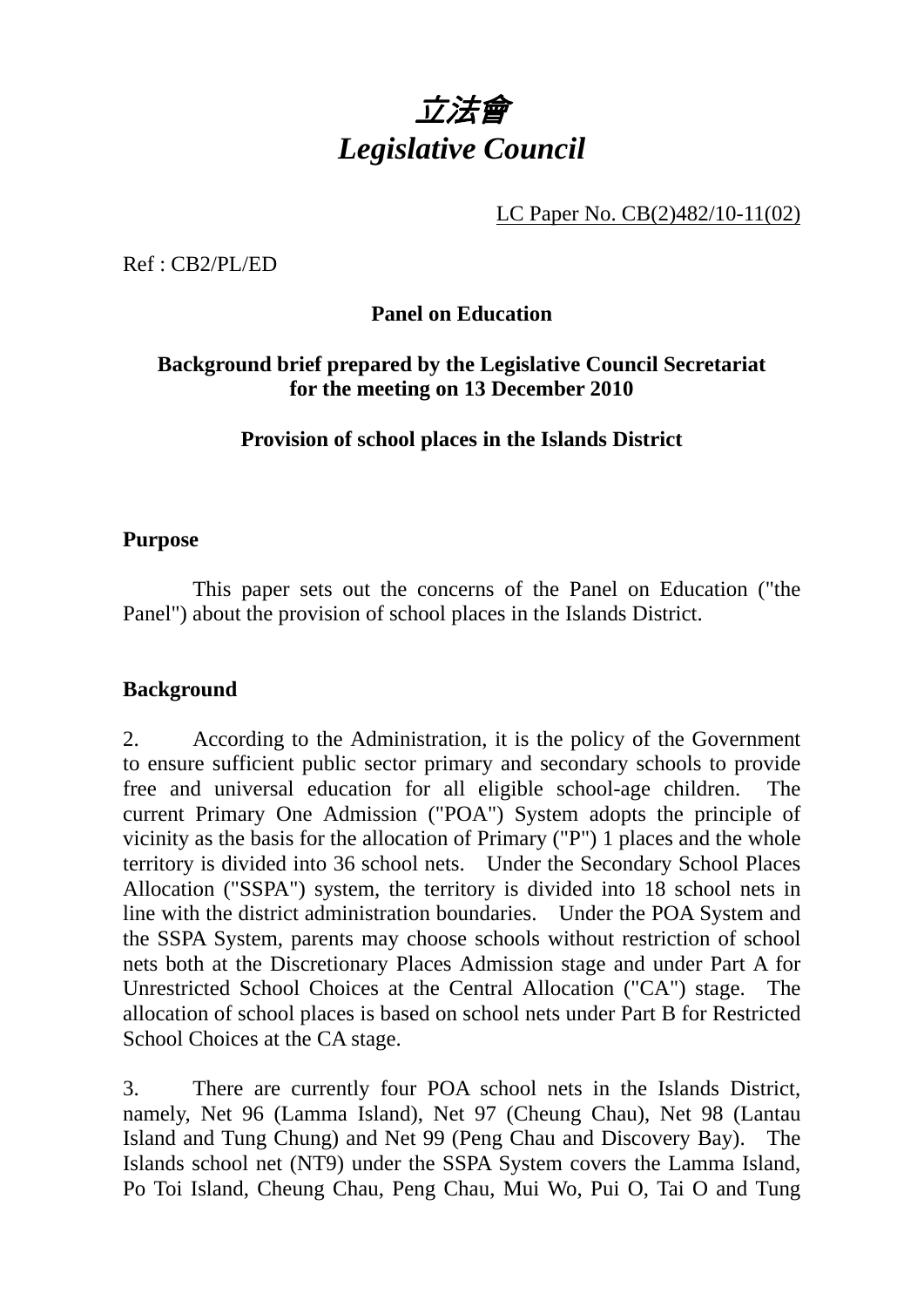

LC Paper No. CB(2)482/10-11(02)

Ref : CB2/PL/ED

# **Panel on Education**

## **Background brief prepared by the Legislative Council Secretariat for the meeting on 13 December 2010**

### **Provision of school places in the Islands District**

#### **Purpose**

 This paper sets out the concerns of the Panel on Education ("the Panel") about the provision of school places in the Islands District.

#### **Background**

2. According to the Administration, it is the policy of the Government to ensure sufficient public sector primary and secondary schools to provide free and universal education for all eligible school-age children. The current Primary One Admission ("POA") System adopts the principle of vicinity as the basis for the allocation of Primary ("P") 1 places and the whole territory is divided into 36 school nets. Under the Secondary School Places Allocation ("SSPA") system, the territory is divided into 18 school nets in line with the district administration boundaries. Under the POA System and the SSPA System, parents may choose schools without restriction of school nets both at the Discretionary Places Admission stage and under Part A for Unrestricted School Choices at the Central Allocation ("CA") stage. The allocation of school places is based on school nets under Part B for Restricted School Choices at the CA stage.

3. There are currently four POA school nets in the Islands District, namely, Net 96 (Lamma Island), Net 97 (Cheung Chau), Net 98 (Lantau Island and Tung Chung) and Net 99 (Peng Chau and Discovery Bay). The Islands school net (NT9) under the SSPA System covers the Lamma Island, Po Toi Island, Cheung Chau, Peng Chau, Mui Wo, Pui O, Tai O and Tung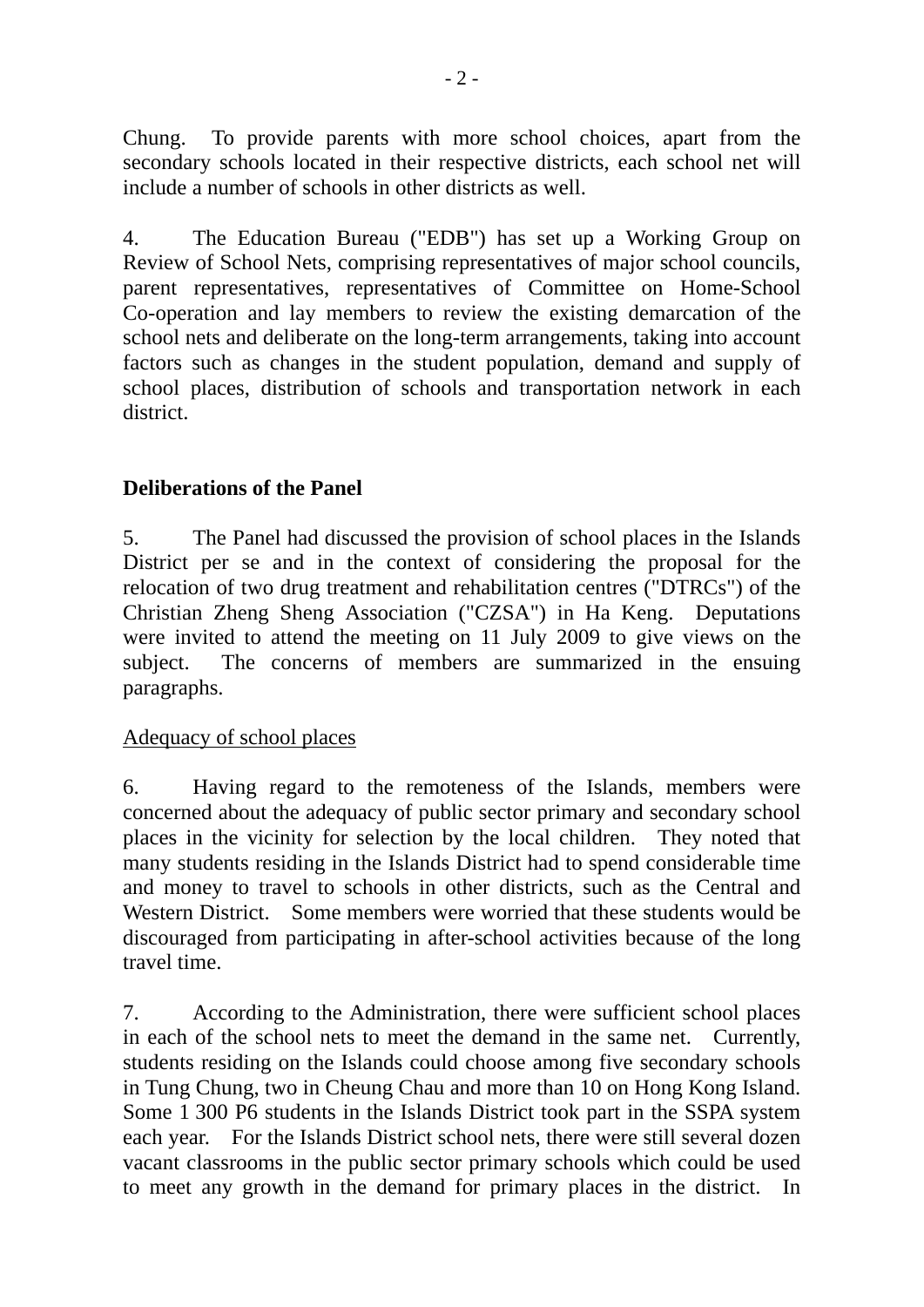Chung. To provide parents with more school choices, apart from the secondary schools located in their respective districts, each school net will include a number of schools in other districts as well.

4. The Education Bureau ("EDB") has set up a Working Group on Review of School Nets, comprising representatives of major school councils, parent representatives, representatives of Committee on Home-School Co-operation and lay members to review the existing demarcation of the school nets and deliberate on the long-term arrangements, taking into account factors such as changes in the student population, demand and supply of school places, distribution of schools and transportation network in each district.

## **Deliberations of the Panel**

5. The Panel had discussed the provision of school places in the Islands District per se and in the context of considering the proposal for the relocation of two drug treatment and rehabilitation centres ("DTRCs") of the Christian Zheng Sheng Association ("CZSA") in Ha Keng. Deputations were invited to attend the meeting on 11 July 2009 to give views on the subject. The concerns of members are summarized in the ensuing paragraphs.

### Adequacy of school places

6. Having regard to the remoteness of the Islands, members were concerned about the adequacy of public sector primary and secondary school places in the vicinity for selection by the local children. They noted that many students residing in the Islands District had to spend considerable time and money to travel to schools in other districts, such as the Central and Western District. Some members were worried that these students would be discouraged from participating in after-school activities because of the long travel time.

7. According to the Administration, there were sufficient school places in each of the school nets to meet the demand in the same net. Currently, students residing on the Islands could choose among five secondary schools in Tung Chung, two in Cheung Chau and more than 10 on Hong Kong Island. Some 1 300 P6 students in the Islands District took part in the SSPA system each year. For the Islands District school nets, there were still several dozen vacant classrooms in the public sector primary schools which could be used to meet any growth in the demand for primary places in the district. In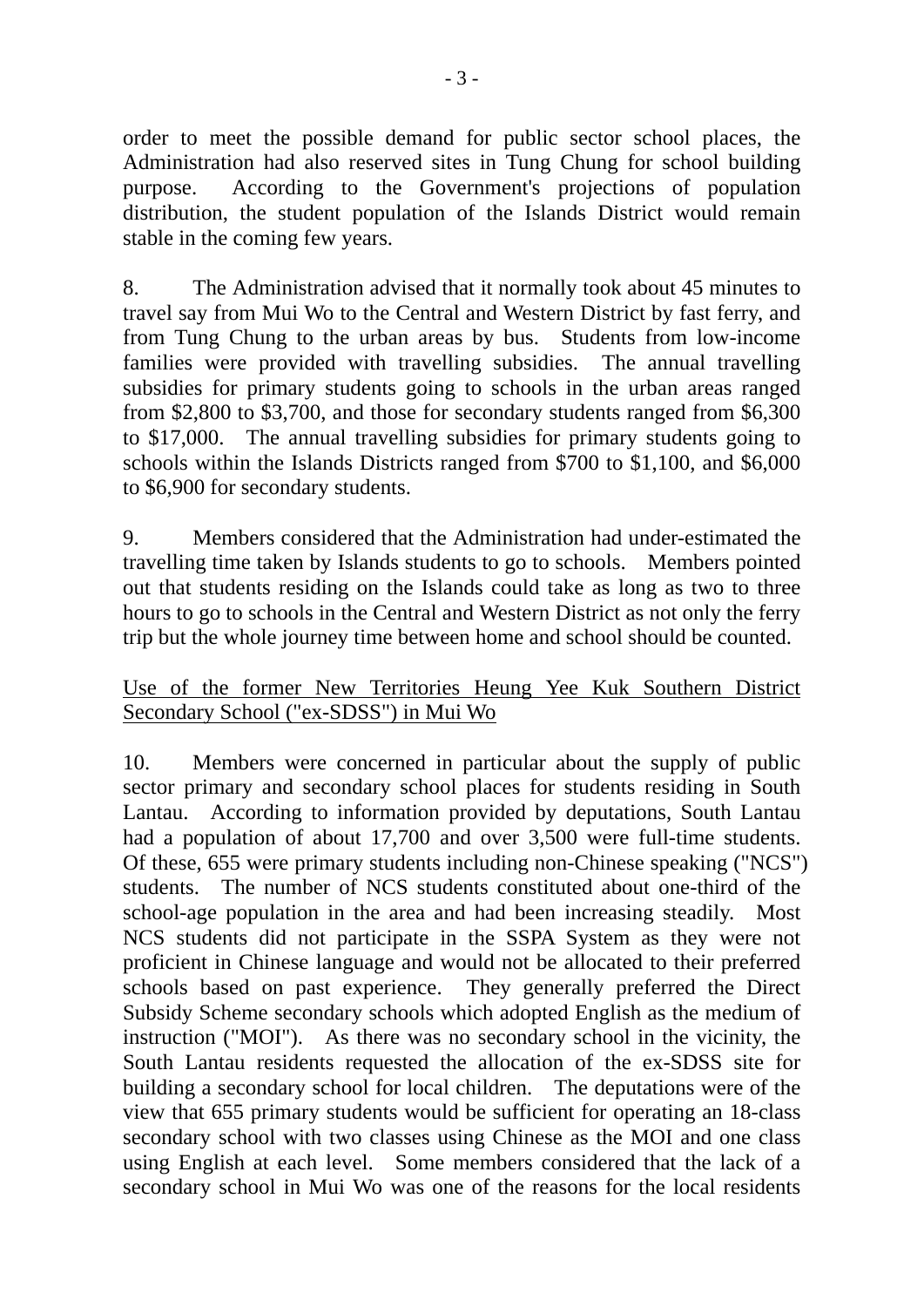order to meet the possible demand for public sector school places, the Administration had also reserved sites in Tung Chung for school building purpose. According to the Government's projections of population distribution, the student population of the Islands District would remain stable in the coming few years.

8. The Administration advised that it normally took about 45 minutes to travel say from Mui Wo to the Central and Western District by fast ferry, and from Tung Chung to the urban areas by bus. Students from low-income families were provided with travelling subsidies. The annual travelling subsidies for primary students going to schools in the urban areas ranged from \$2,800 to \$3,700, and those for secondary students ranged from \$6,300 to \$17,000. The annual travelling subsidies for primary students going to schools within the Islands Districts ranged from \$700 to \$1,100, and \$6,000 to \$6,900 for secondary students.

9. Members considered that the Administration had under-estimated the travelling time taken by Islands students to go to schools. Members pointed out that students residing on the Islands could take as long as two to three hours to go to schools in the Central and Western District as not only the ferry trip but the whole journey time between home and school should be counted.

### Use of the former New Territories Heung Yee Kuk Southern District Secondary School ("ex-SDSS") in Mui Wo

10. Members were concerned in particular about the supply of public sector primary and secondary school places for students residing in South Lantau. According to information provided by deputations, South Lantau had a population of about 17,700 and over 3,500 were full-time students. Of these, 655 were primary students including non-Chinese speaking ("NCS") students. The number of NCS students constituted about one-third of the school-age population in the area and had been increasing steadily. Most NCS students did not participate in the SSPA System as they were not proficient in Chinese language and would not be allocated to their preferred schools based on past experience. They generally preferred the Direct Subsidy Scheme secondary schools which adopted English as the medium of instruction ("MOI"). As there was no secondary school in the vicinity, the South Lantau residents requested the allocation of the ex-SDSS site for building a secondary school for local children. The deputations were of the view that 655 primary students would be sufficient for operating an 18-class secondary school with two classes using Chinese as the MOI and one class using English at each level. Some members considered that the lack of a secondary school in Mui Wo was one of the reasons for the local residents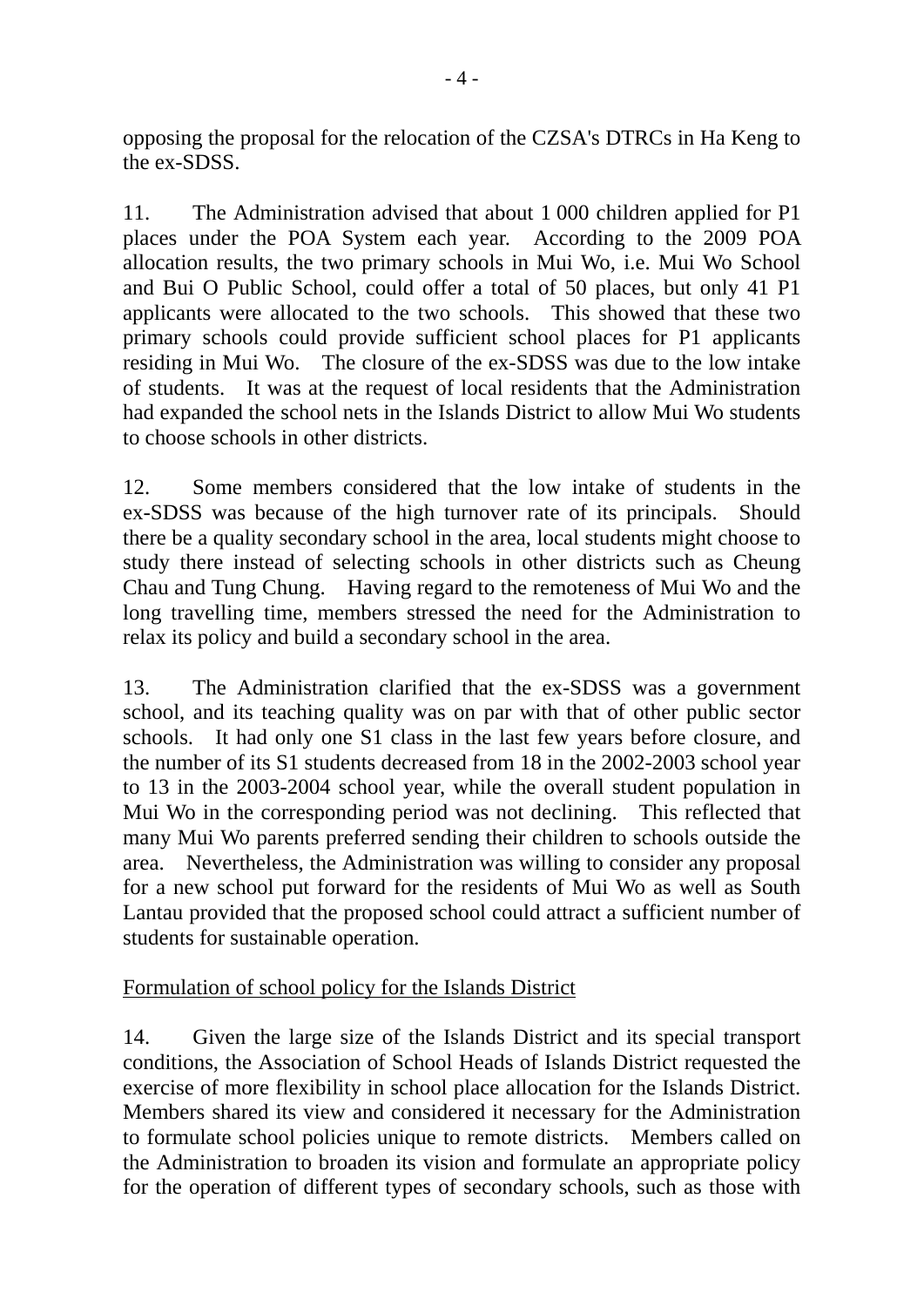opposing the proposal for the relocation of the CZSA's DTRCs in Ha Keng to the ex-SDSS.

11. The Administration advised that about 1 000 children applied for P1 places under the POA System each year. According to the 2009 POA allocation results, the two primary schools in Mui Wo, i.e. Mui Wo School and Bui O Public School, could offer a total of 50 places, but only 41 P1 applicants were allocated to the two schools. This showed that these two primary schools could provide sufficient school places for P1 applicants residing in Mui Wo. The closure of the ex-SDSS was due to the low intake of students. It was at the request of local residents that the Administration had expanded the school nets in the Islands District to allow Mui Wo students to choose schools in other districts.

12. Some members considered that the low intake of students in the ex-SDSS was because of the high turnover rate of its principals. Should there be a quality secondary school in the area, local students might choose to study there instead of selecting schools in other districts such as Cheung Chau and Tung Chung. Having regard to the remoteness of Mui Wo and the long travelling time, members stressed the need for the Administration to relax its policy and build a secondary school in the area.

13. The Administration clarified that the ex-SDSS was a government school, and its teaching quality was on par with that of other public sector schools. It had only one S1 class in the last few years before closure, and the number of its S1 students decreased from 18 in the 2002-2003 school year to 13 in the 2003-2004 school year, while the overall student population in Mui Wo in the corresponding period was not declining. This reflected that many Mui Wo parents preferred sending their children to schools outside the area. Nevertheless, the Administration was willing to consider any proposal for a new school put forward for the residents of Mui Wo as well as South Lantau provided that the proposed school could attract a sufficient number of students for sustainable operation.

# Formulation of school policy for the Islands District

14. Given the large size of the Islands District and its special transport conditions, the Association of School Heads of Islands District requested the exercise of more flexibility in school place allocation for the Islands District. Members shared its view and considered it necessary for the Administration to formulate school policies unique to remote districts. Members called on the Administration to broaden its vision and formulate an appropriate policy for the operation of different types of secondary schools, such as those with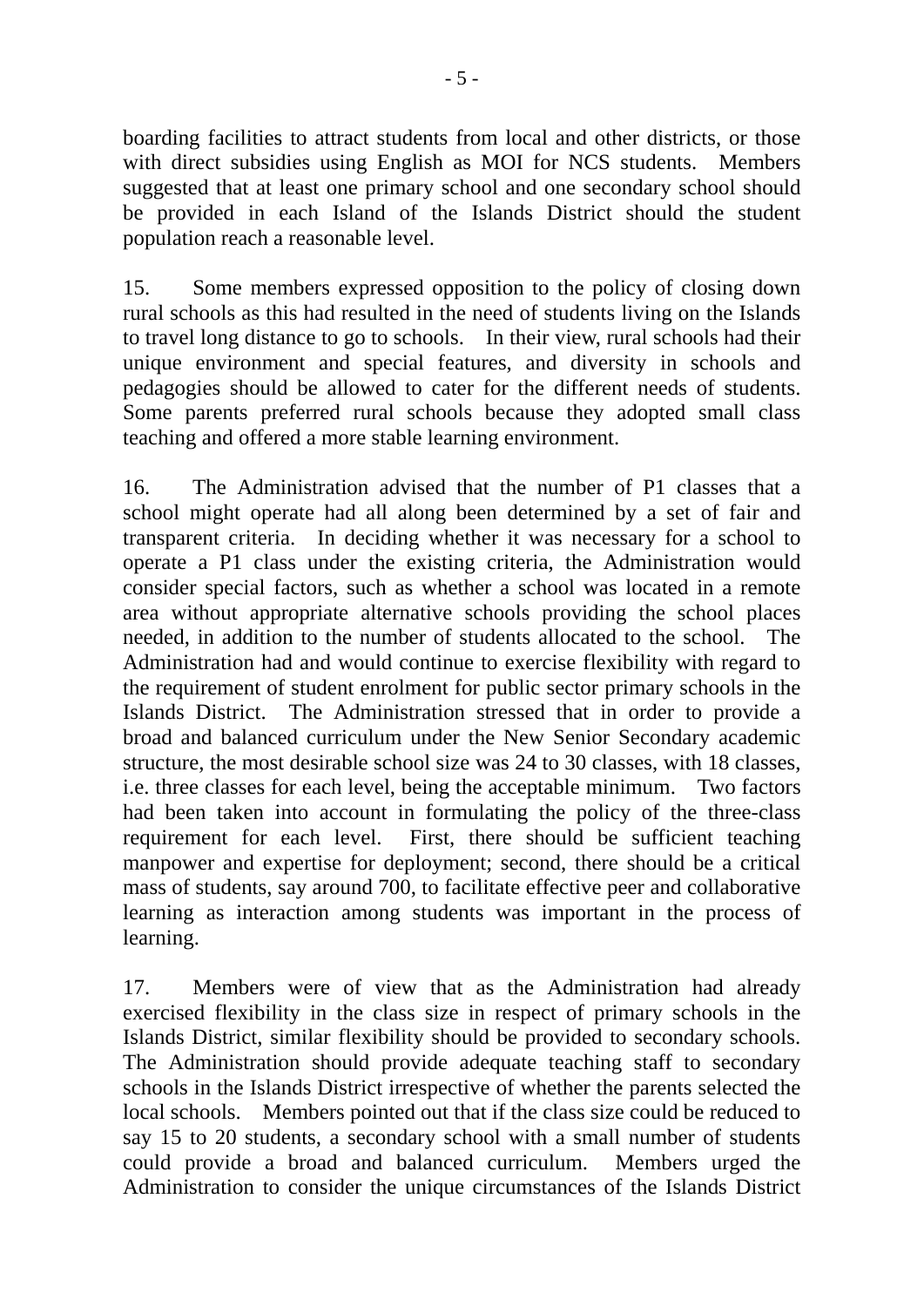boarding facilities to attract students from local and other districts, or those with direct subsidies using English as MOI for NCS students. Members suggested that at least one primary school and one secondary school should be provided in each Island of the Islands District should the student population reach a reasonable level.

15. Some members expressed opposition to the policy of closing down rural schools as this had resulted in the need of students living on the Islands to travel long distance to go to schools. In their view, rural schools had their unique environment and special features, and diversity in schools and pedagogies should be allowed to cater for the different needs of students. Some parents preferred rural schools because they adopted small class teaching and offered a more stable learning environment.

16. The Administration advised that the number of P1 classes that a school might operate had all along been determined by a set of fair and transparent criteria. In deciding whether it was necessary for a school to operate a P1 class under the existing criteria, the Administration would consider special factors, such as whether a school was located in a remote area without appropriate alternative schools providing the school places needed, in addition to the number of students allocated to the school. The Administration had and would continue to exercise flexibility with regard to the requirement of student enrolment for public sector primary schools in the Islands District. The Administration stressed that in order to provide a broad and balanced curriculum under the New Senior Secondary academic structure, the most desirable school size was 24 to 30 classes, with 18 classes, i.e. three classes for each level, being the acceptable minimum. Two factors had been taken into account in formulating the policy of the three-class requirement for each level. First, there should be sufficient teaching manpower and expertise for deployment; second, there should be a critical mass of students, say around 700, to facilitate effective peer and collaborative learning as interaction among students was important in the process of learning.

17. Members were of view that as the Administration had already exercised flexibility in the class size in respect of primary schools in the Islands District, similar flexibility should be provided to secondary schools. The Administration should provide adequate teaching staff to secondary schools in the Islands District irrespective of whether the parents selected the local schools. Members pointed out that if the class size could be reduced to say 15 to 20 students, a secondary school with a small number of students could provide a broad and balanced curriculum. Members urged the Administration to consider the unique circumstances of the Islands District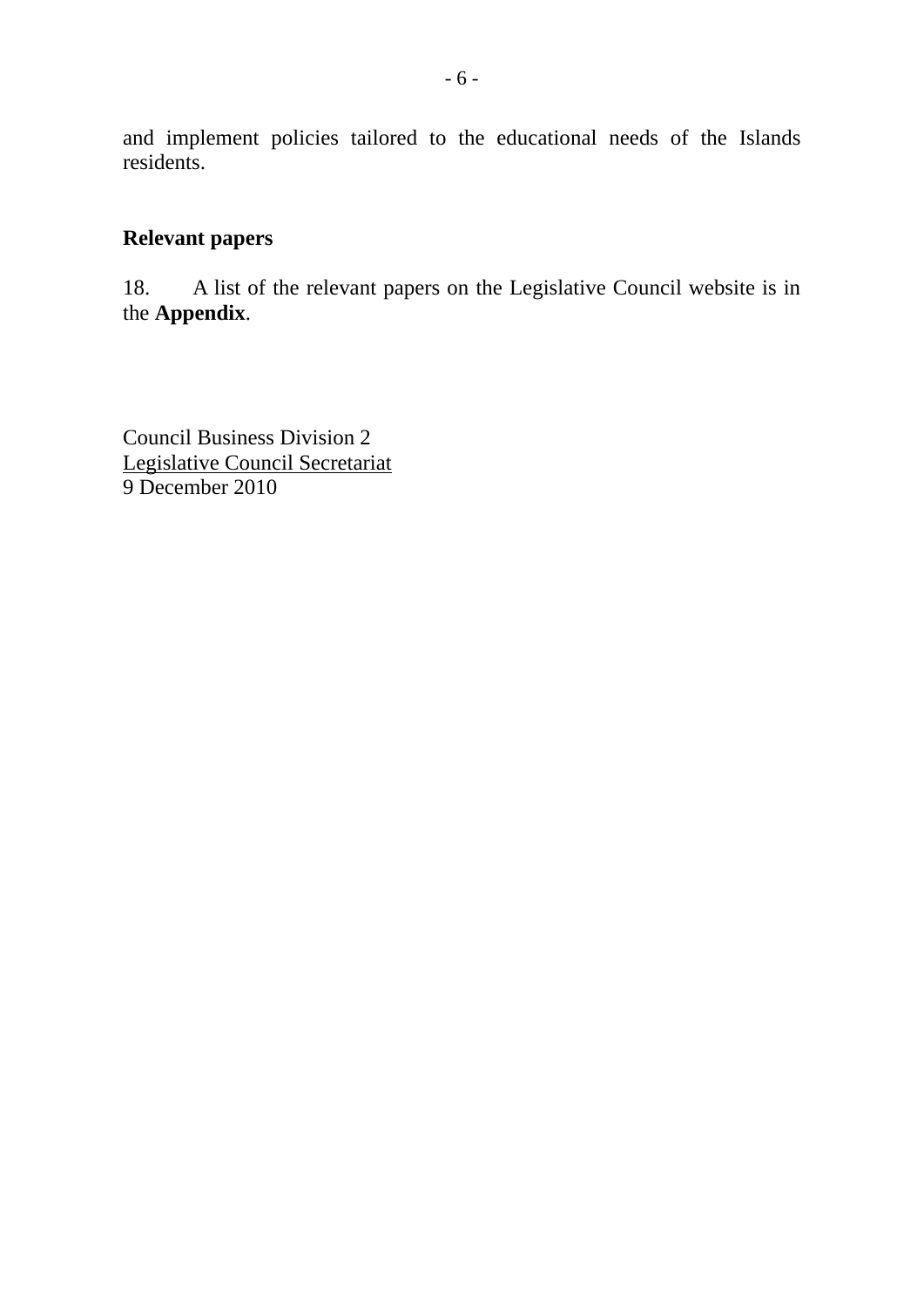and implement policies tailored to the educational needs of the Islands residents.

# **Relevant papers**

18. A list of the relevant papers on the Legislative Council website is in the **Appendix**.

Council Business Division 2 Legislative Council Secretariat 9 December 2010